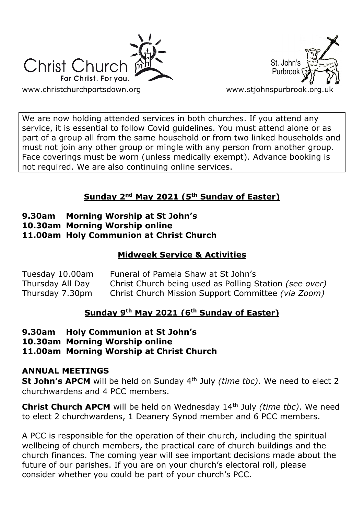



We are now holding attended services in both churches. If you attend any service, it is essential to follow Covid guidelines. You must attend alone or as part of a group all from the same household or from two linked households and must not join any other group or mingle with any person from another group. Face coverings must be worn (unless medically exempt). Advance booking is not required. We are also continuing online services.

# **Sunday 2nd May 2021 (5th Sunday of Easter)**

## **9.30am Morning Worship at St John's 10.30am Morning Worship online 11.00am Holy Communion at Christ Church**

# **Midweek Service & Activities**

| Tuesday 10.00am  | Funeral of Pamela Shaw at St John's                    |
|------------------|--------------------------------------------------------|
| Thursday All Day | Christ Church being used as Polling Station (see over) |
| Thursday 7.30pm  | Christ Church Mission Support Committee (via Zoom)     |

# **Sunday 9th May 2021 (6th Sunday of Easter)**

**9.30am Holy Communion at St John's**

**10.30am Morning Worship online**

**11.00am Morning Worship at Christ Church**

## **ANNUAL MEETINGS**

**St John's APCM** will be held on Sunday 4th July *(time tbc)*. We need to elect 2 churchwardens and 4 PCC members.

**Christ Church APCM** will be held on Wednesday 14th July *(time tbc)*. We need to elect 2 churchwardens, 1 Deanery Synod member and 6 PCC members.

A PCC is responsible for the operation of their church, including the spiritual wellbeing of church members, the practical care of church buildings and the church finances. The coming year will see important decisions made about the future of our parishes. If you are on your church's electoral roll, please consider whether you could be part of your church's PCC.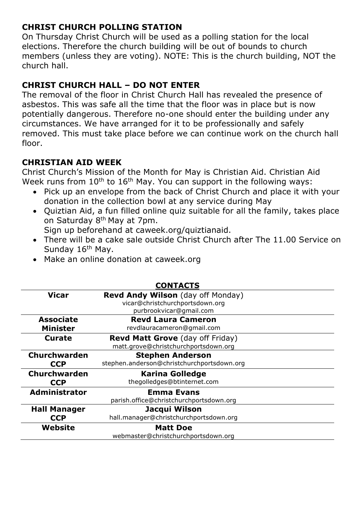# **CHRIST CHURCH POLLING STATION**

On Thursday Christ Church will be used as a polling station for the local elections. Therefore the church building will be out of bounds to church members (unless they are voting). NOTE: This is the church building, NOT the church hall.

# **CHRIST CHURCH HALL – DO NOT ENTER**

The removal of the floor in Christ Church Hall has revealed the presence of asbestos. This was safe all the time that the floor was in place but is now potentially dangerous. Therefore no-one should enter the building under any circumstances. We have arranged for it to be professionally and safely removed. This must take place before we can continue work on the church hall floor.

## **CHRISTIAN AID WEEK**

Christ Church's Mission of the Month for May is Christian Aid. Christian Aid Week runs from  $10<sup>th</sup>$  to  $16<sup>th</sup>$  May. You can support in the following ways:

- Pick up an envelope from the back of Christ Church and place it with your donation in the collection bowl at any service during May
- Quiztian Aid, a fun filled online quiz suitable for all the family, takes place on Saturday 8th May at 7pm.

Sign up beforehand at caweek.org/quiztianaid.

- There will be a cake sale outside Christ Church after The 11.00 Service on Sunday 16<sup>th</sup> May.
- Make an online donation at caweek.org

|                      | <b>CONTACTS</b>                            |
|----------------------|--------------------------------------------|
| <b>Vicar</b>         | <b>Revd Andy Wilson</b> (day off Monday)   |
|                      | vicar@christchurchportsdown.org            |
|                      | purbrookvicar@gmail.com                    |
| <b>Associate</b>     | <b>Revd Laura Cameron</b>                  |
| <b>Minister</b>      | revdlauracameron@gmail.com                 |
| Curate               | <b>Revd Matt Grove</b> (day off Friday)    |
|                      | matt.grove@christchurchportsdown.org       |
| Churchwarden         | <b>Stephen Anderson</b>                    |
| <b>CCP</b>           | stephen.anderson@christchurchportsdown.org |
| <b>Churchwarden</b>  | <b>Karina Golledge</b>                     |
| <b>CCP</b>           | thegolledges@btinternet.com                |
| <b>Administrator</b> | <b>Emma Evans</b>                          |
|                      | parish.office@christchurchportsdown.org    |
| <b>Hall Manager</b>  | Jacqui Wilson                              |
| <b>CCP</b>           | hall.manager@christchurchportsdown.org     |
| Website              | <b>Matt Doe</b>                            |
|                      | webmaster@christchurchportsdown.org        |

### **CONTACTS**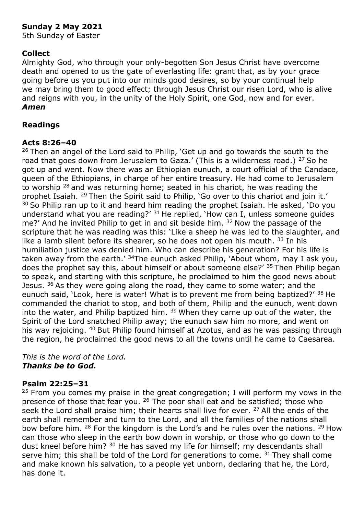## **Sunday 2 May 2021**

5th Sunday of Easter

### **Collect**

Almighty God, who through your only-begotten Son Jesus Christ have overcome death and opened to us the gate of everlasting life: grant that, as by your grace going before us you put into our minds good desires, so by your continual help we may bring them to good effect; through Jesus Christ our risen Lord, who is alive and reigns with you, in the unity of the Holy Spirit, one God, now and for ever. *Amen*

#### **Readings**

#### **Acts 8:26–40**

<sup>26</sup> Then an angel of the Lord said to Philip, 'Get up and go towards the south to the road that goes down from Jerusalem to Gaza.' (This is a wilderness road.)  $27$  So he got up and went. Now there was an Ethiopian eunuch, a court official of the Candace, queen of the Ethiopians, in charge of her entire treasury. He had come to Jerusalem to worship  $28$  and was returning home; seated in his chariot, he was reading the prophet Isaiah. <sup>29</sup> Then the Spirit said to Philip, 'Go over to this chariot and join it.'  $30$  So Philip ran up to it and heard him reading the prophet Isaiah. He asked, 'Do you understand what you are reading?'  $31$  He replied, 'How can I, unless someone quides me?' And he invited Philip to get in and sit beside him. <sup>32</sup> Now the passage of the scripture that he was reading was this: 'Like a sheep he was led to the slaughter, and like a lamb silent before its shearer, so he does not open his mouth. 33 In his humiliation justice was denied him. Who can describe his generation? For his life is taken away from the earth.<sup>' 34</sup>The eunuch asked Philip, 'About whom, may I ask you, does the prophet say this, about himself or about someone else?' 35 Then Philip began to speak, and starting with this scripture, he proclaimed to him the good news about Jesus.  $36$  As they were going along the road, they came to some water; and the eunuch said, 'Look, here is water! What is to prevent me from being baptized?' 38 He commanded the chariot to stop, and both of them, Philip and the eunuch, went down into the water, and Philip baptized him.  $39$  When they came up out of the water, the Spirit of the Lord snatched Philip away; the eunuch saw him no more, and went on his way rejoicing. <sup>40</sup> But Philip found himself at Azotus, and as he was passing through the region, he proclaimed the good news to all the towns until he came to Caesarea.

*This is the word of the Lord. Thanks be to God.*

#### **Psalm 22:25–31**

 $25$  From you comes my praise in the great congregation; I will perform my vows in the presence of those that fear you. <sup>26</sup> The poor shall eat and be satisfied; those who seek the Lord shall praise him; their hearts shall live for ever. <sup>27</sup> All the ends of the earth shall remember and turn to the Lord, and all the families of the nations shall bow before him. <sup>28</sup> For the kingdom is the Lord's and he rules over the nations. <sup>29</sup> How can those who sleep in the earth bow down in worship, or those who go down to the dust kneel before him? <sup>30</sup> He has saved my life for himself; my descendants shall serve him; this shall be told of the Lord for generations to come.  $31$  They shall come and make known his salvation, to a people yet unborn, declaring that he, the Lord, has done it.